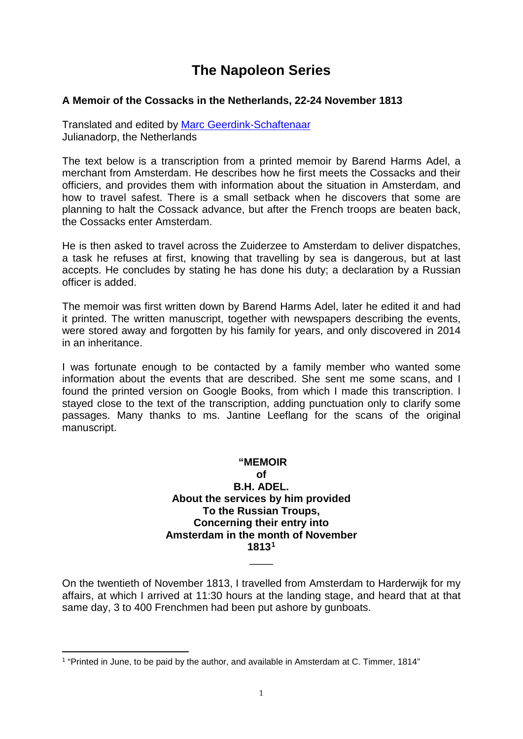# **The Napoleon Series**

### **A Memoir of the Cossacks in the Netherlands, 22-24 November 1813**

Translated and edited by [Marc Geerdink-Schaftenaar](mailto:m.schaftenaar@quicknet.nl) Julianadorp, the Netherlands

The text below is a transcription from a printed memoir by Barend Harms Adel, a merchant from Amsterdam. He describes how he first meets the Cossacks and their officiers, and provides them with information about the situation in Amsterdam, and how to travel safest. There is a small setback when he discovers that some are planning to halt the Cossack advance, but after the French troops are beaten back, the Cossacks enter Amsterdam.

He is then asked to travel across the Zuiderzee to Amsterdam to deliver dispatches, a task he refuses at first, knowing that travelling by sea is dangerous, but at last accepts. He concludes by stating he has done his duty; a declaration by a Russian officer is added.

The memoir was first written down by Barend Harms Adel, later he edited it and had it printed. The written manuscript, together with newspapers describing the events, were stored away and forgotten by his family for years, and only discovered in 2014 in an inheritance.

I was fortunate enough to be contacted by a family member who wanted some information about the events that are described. She sent me some scans, and I found the printed version on Google Books, from which I made this transcription. I stayed close to the text of the transcription, adding punctuation only to clarify some passages. Many thanks to ms. Jantine Leeflang for the scans of the original manuscript.

> **"MEMOIR of B.H. ADEL. About the services by him provided To the Russian Troups, Concerning their entry into Amsterdam in the month of November 1813[1](#page-0-0)**

On the twentieth of November 1813, I travelled from Amsterdam to Harderwijk for my affairs, at which I arrived at 11:30 hours at the landing stage, and heard that at that same day, 3 to 400 Frenchmen had been put ashore by gunboats.

 $\overline{\phantom{a}}$ 

<span id="page-0-0"></span><sup>1</sup> "Printed in June, to be paid by the author, and available in Amsterdam at C. Timmer, 1814"  $\overline{a}$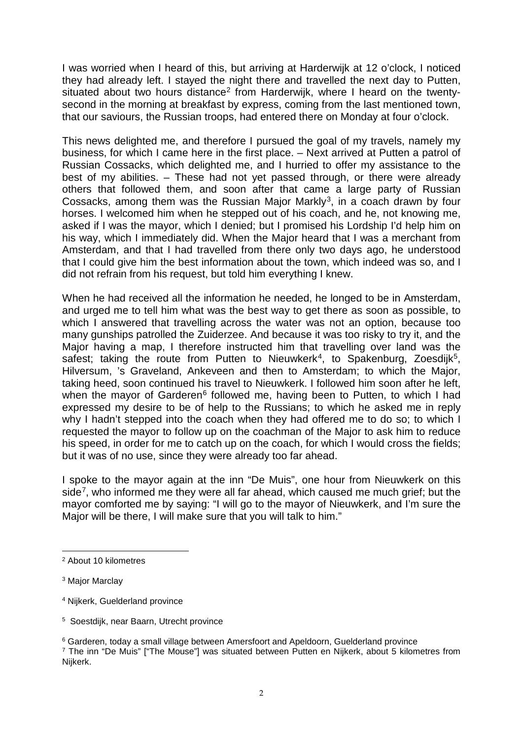I was worried when I heard of this, but arriving at Harderwijk at 12 o'clock, I noticed they had already left. I stayed the night there and travelled the next day to Putten, situated about two hours distance<sup>[2](#page-1-0)</sup> from Harderwijk, where I heard on the twentysecond in the morning at breakfast by express, coming from the last mentioned town, that our saviours, the Russian troops, had entered there on Monday at four o'clock.

This news delighted me, and therefore I pursued the goal of my travels, namely my business, for which I came here in the first place. – Next arrived at Putten a patrol of Russian Cossacks, which delighted me, and I hurried to offer my assistance to the best of my abilities. – These had not yet passed through, or there were already others that followed them, and soon after that came a large party of Russian Cossacks, among them was the Russian Major Markly<sup>3</sup>, in a coach drawn by four horses. I welcomed him when he stepped out of his coach, and he, not knowing me, asked if I was the mayor, which I denied; but I promised his Lordship I'd help him on his way, which I immediately did. When the Major heard that I was a merchant from Amsterdam, and that I had travelled from there only two days ago, he understood that I could give him the best information about the town, which indeed was so, and I did not refrain from his request, but told him everything I knew.

When he had received all the information he needed, he longed to be in Amsterdam, and urged me to tell him what was the best way to get there as soon as possible, to which I answered that travelling across the water was not an option, because too many gunships patrolled the Zuiderzee. And because it was too risky to try it, and the Major having a map, I therefore instructed him that travelling over land was the safest; taking the route from Putten to Nieuwkerk<sup>4</sup>, to Spakenburg, Zoesdijk<sup>[5](#page-1-3)</sup>, Hilversum, 's Graveland, Ankeveen and then to Amsterdam; to which the Major, taking heed, soon continued his travel to Nieuwkerk. I followed him soon after he left, when the mayor of Garderen<sup>[6](#page-1-4)</sup> followed me, having been to Putten, to which I had expressed my desire to be of help to the Russians; to which he asked me in reply why I hadn't stepped into the coach when they had offered me to do so; to which I requested the mayor to follow up on the coachman of the Major to ask him to reduce his speed, in order for me to catch up on the coach, for which I would cross the fields; but it was of no use, since they were already too far ahead.

I spoke to the mayor again at the inn "De Muis", one hour from Nieuwkerk on this side<sup>7</sup>, who informed me they were all far ahead, which caused me much grief; but the mayor comforted me by saying: "I will go to the mayor of Nieuwkerk, and I'm sure the Major will be there, I will make sure that you will talk to him."

 $\overline{a}$ 

<span id="page-1-0"></span><sup>2</sup> About 10 kilometres

<span id="page-1-1"></span><sup>3</sup> Major Marclay

<span id="page-1-2"></span><sup>4</sup> Nijkerk, Guelderland province

<span id="page-1-3"></span><sup>5</sup> Soestdijk, near Baarn, Utrecht province

<span id="page-1-4"></span><sup>6</sup> Garderen, today a small village between Amersfoort and Apeldoorn, Guelderland province

<span id="page-1-5"></span><sup>7</sup> The inn "De Muis" ["The Mouse"] was situated between Putten en Nijkerk, about 5 kilometres from Nijkerk.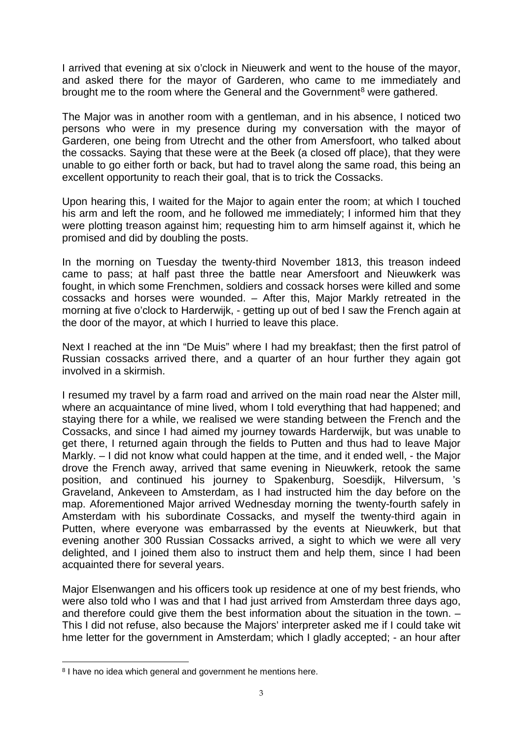I arrived that evening at six o'clock in Nieuwerk and went to the house of the mayor, and asked there for the mayor of Garderen, who came to me immediately and brought me to the room where the General and the Government<sup>[8](#page-2-0)</sup> were gathered.

The Major was in another room with a gentleman, and in his absence, I noticed two persons who were in my presence during my conversation with the mayor of Garderen, one being from Utrecht and the other from Amersfoort, who talked about the cossacks. Saying that these were at the Beek (a closed off place), that they were unable to go either forth or back, but had to travel along the same road, this being an excellent opportunity to reach their goal, that is to trick the Cossacks.

Upon hearing this, I waited for the Major to again enter the room; at which I touched his arm and left the room, and he followed me immediately; I informed him that they were plotting treason against him; requesting him to arm himself against it, which he promised and did by doubling the posts.

In the morning on Tuesday the twenty-third November 1813, this treason indeed came to pass; at half past three the battle near Amersfoort and Nieuwkerk was fought, in which some Frenchmen, soldiers and cossack horses were killed and some cossacks and horses were wounded. – After this, Major Markly retreated in the morning at five o'clock to Harderwijk, - getting up out of bed I saw the French again at the door of the mayor, at which I hurried to leave this place.

Next I reached at the inn "De Muis" where I had my breakfast; then the first patrol of Russian cossacks arrived there, and a quarter of an hour further they again got involved in a skirmish.

I resumed my travel by a farm road and arrived on the main road near the Alster mill, where an acquaintance of mine lived, whom I told everything that had happened; and staying there for a while, we realised we were standing between the French and the Cossacks, and since I had aimed my journey towards Harderwijk, but was unable to get there, I returned again through the fields to Putten and thus had to leave Major Markly. – I did not know what could happen at the time, and it ended well, - the Major drove the French away, arrived that same evening in Nieuwkerk, retook the same position, and continued his journey to Spakenburg, Soesdijk, Hilversum, 's Graveland, Ankeveen to Amsterdam, as I had instructed him the day before on the map. Aforementioned Major arrived Wednesday morning the twenty-fourth safely in Amsterdam with his subordinate Cossacks, and myself the twenty-third again in Putten, where everyone was embarrassed by the events at Nieuwkerk, but that evening another 300 Russian Cossacks arrived, a sight to which we were all very delighted, and I joined them also to instruct them and help them, since I had been acquainted there for several years.

Major Elsenwangen and his officers took up residence at one of my best friends, who were also told who I was and that I had just arrived from Amsterdam three days ago, and therefore could give them the best information about the situation in the town. – This I did not refuse, also because the Majors' interpreter asked me if I could take wit hme letter for the government in Amsterdam; which I gladly accepted; - an hour after

l

<span id="page-2-0"></span><sup>&</sup>lt;sup>8</sup> I have no idea which general and government he mentions here.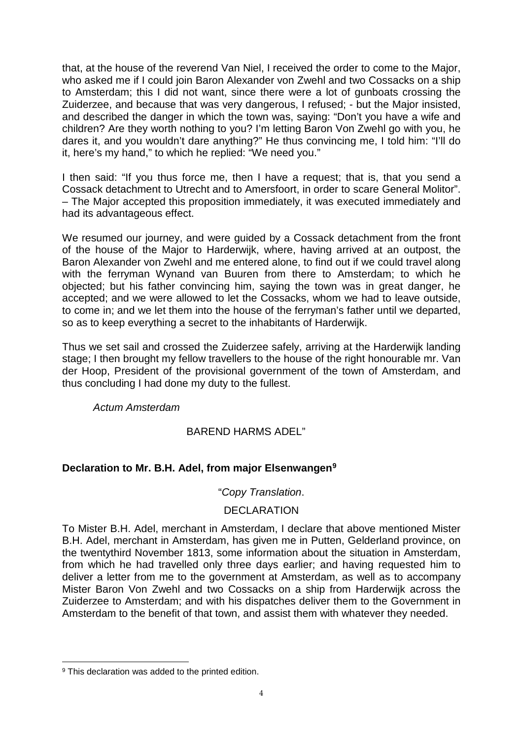that, at the house of the reverend Van Niel, I received the order to come to the Major, who asked me if I could join Baron Alexander von Zwehl and two Cossacks on a ship to Amsterdam; this I did not want, since there were a lot of gunboats crossing the Zuiderzee, and because that was very dangerous, I refused; - but the Major insisted, and described the danger in which the town was, saying: "Don't you have a wife and children? Are they worth nothing to you? I'm letting Baron Von Zwehl go with you, he dares it, and you wouldn't dare anything?" He thus convincing me, I told him: "I'll do it, here's my hand," to which he replied: "We need you."

I then said: "If you thus force me, then I have a request; that is, that you send a Cossack detachment to Utrecht and to Amersfoort, in order to scare General Molitor". – The Major accepted this proposition immediately, it was executed immediately and had its advantageous effect.

We resumed our journey, and were guided by a Cossack detachment from the front of the house of the Major to Harderwijk, where, having arrived at an outpost, the Baron Alexander von Zwehl and me entered alone, to find out if we could travel along with the ferryman Wynand van Buuren from there to Amsterdam; to which he objected; but his father convincing him, saying the town was in great danger, he accepted; and we were allowed to let the Cossacks, whom we had to leave outside, to come in; and we let them into the house of the ferryman's father until we departed, so as to keep everything a secret to the inhabitants of Harderwijk.

Thus we set sail and crossed the Zuiderzee safely, arriving at the Harderwijk landing stage; I then brought my fellow travellers to the house of the right honourable mr. Van der Hoop, President of the provisional government of the town of Amsterdam, and thus concluding I had done my duty to the fullest.

*Actum Amsterdam*

## BAREND HARMS ADEL"

## **Declaration to Mr. B.H. Adel, from major Elsenwangen[9](#page-3-0)**

## "*Copy Translation*.

## DECLARATION

To Mister B.H. Adel, merchant in Amsterdam, I declare that above mentioned Mister B.H. Adel, merchant in Amsterdam, has given me in Putten, Gelderland province, on the twentythird November 1813, some information about the situation in Amsterdam, from which he had travelled only three days earlier; and having requested him to deliver a letter from me to the government at Amsterdam, as well as to accompany Mister Baron Von Zwehl and two Cossacks on a ship from Harderwijk across the Zuiderzee to Amsterdam; and with his dispatches deliver them to the Government in Amsterdam to the benefit of that town, and assist them with whatever they needed.

l

<span id="page-3-0"></span><sup>&</sup>lt;sup>9</sup> This declaration was added to the printed edition.